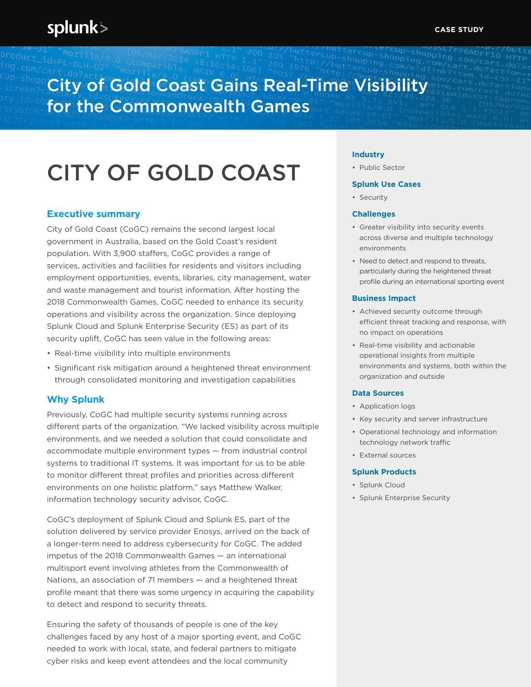# City of Gold Coast Gains Real-Time Visibility for the Commonwealth Games

# CITY OF GOLD COAST

# **Executive summary**

City of Gold Coast (CoGC) remains the second largest local government in Australia, based on the Gold Coast's resident population. With 3,900 staffers, CoGC provides a range of services, activities and facilities for residents and visitors including employment opportunities, events, libraries, city management, water and waste management and tourist information. After hosting the 2018 Commonwealth Games, CoGC needed to enhance its security operations and visibility across the organization. Since deploying Splunk Cloud and Splunk Enterprise Security (ES) as part of its security uplift, CoGC has seen value in the following areas:

- Real-time visibility into multiple environments
- Significant risk mitigation around a heightened threat environment through consolidated monitoring and investigation capabilities

# **Why Splunk**

Previously, CoGC had multiple security systems running across different parts of the organization. "We lacked visibility across multiple environments, and we needed a solution that could consolidate and accommodate multiple environment types — from industrial control systems to traditional IT systems. It was important for us to be able to monitor different threat profiles and priorities across different environments on one holistic platform," says Matthew Walker, information technology security advisor, CoGC.

CoGC's deployment of Splunk Cloud and Splunk ES, part of the solution delivered by service provider Enosys, arrived on the back of a longer-term need to address cybersecurity for CoGC. The added impetus of the 2018 Commonwealth Games — an international multisport event involving athletes from the Commonwealth of Nations, an association of 71 members — and a heightened threat profile meant that there was some urgency in acquiring the capability to detect and respond to security threats.

Ensuring the safety of thousands of people is one of the key challenges faced by any host of a major sporting event, and CoGC needed to work with local, state, and federal partners to mitigate cyber risks and keep event attendees and the local community

### **Industry**

• Public Sector

#### **Splunk Use Cases**

• Security

#### **Challenges**

- Greater visibility into security events across diverse and multiple technology environments
- Need to detect and respond to threats, particularly during the heightened threat profile during an international sporting event

#### **Business Impact**

- Achieved security outcome through efficient threat tracking and response, with no impact on operations
- Real-time visibility and actionable operational insights from multiple environments and systems, both within the organization and outside

#### **Data Sources**

- Application logs
- Key security and server infrastructure
- Operational technology and information technology network traffic
- External sources

#### **Splunk Products**

- Splunk Cloud
- Splunk Enterprise Security